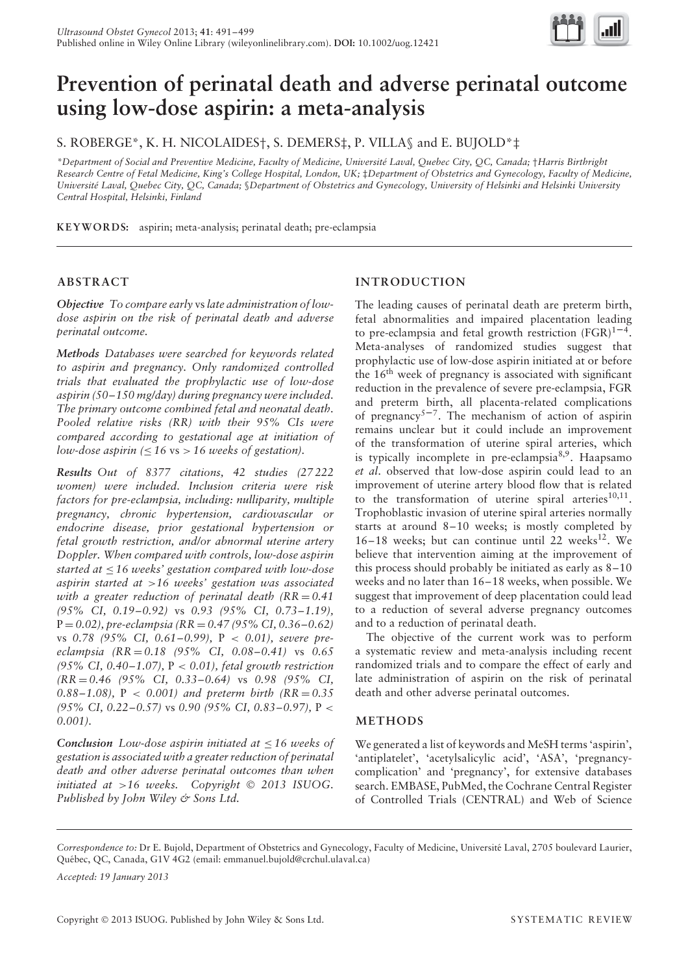

# **Prevention of perinatal death and adverse perinatal outcome using low-dose aspirin: a meta-analysis**

S. ROBERGE\*, K. H. NICOLAIDES†, S. DEMERS‡, P. VILLA§ and E. BUJOLD\*‡

*\*Department of Social and Preventive Medicine, Faculty of Medicine, Universite Laval, Quebec City, QC, Canada; ´* †*Harris Birthright Research Centre of Fetal Medicine, King's College Hospital, London, UK;* ‡*Department of Obstetrics and Gynecology, Faculty of Medicine, Universite Laval, Quebec City, QC, Canada; ´* §*Department of Obstetrics and Gynecology, University of Helsinki and Helsinki University Central Hospital, Helsinki, Finland*

**KEYWORD S:** aspirin; meta-analysis; perinatal death; pre-eclampsia

## **ABSTRACT**

*Objective To compare early* vs*late administration of lowdose aspirin on the risk of perinatal death and adverse perinatal outcome.*

*Methods Databases were searched for keywords related to aspirin and pregnancy. Only randomized controlled trials that evaluated the prophylactic use of low-dose aspirin (50–150 mg/day) during pregnancy were included. The primary outcome combined fetal and neonatal death. Pooled relative risks (RR) with their 95% CIs were compared according to gestational age at initiation of low-dose aspirin (*≤ *16* vs *> 16 weeks of gestation).*

*Results Out of 8377 citations, 42 studies (27 222 women) were included. Inclusion criteria were risk factors for pre-eclampsia, including: nulliparity, multiple pregnancy, chronic hypertension, cardiovascular or endocrine disease, prior gestational hypertension or fetal growth restriction, and/or abnormal uterine artery Doppler. When compared with controls, low-dose aspirin started at* ≤ *16 weeks' gestation compared with low-dose aspirin started at >16 weeks' gestation was associated with a greater reduction of perinatal death (RR = 0.41 (95% CI, 0.19–0.92)* vs *0.93 (95% CI, 0.73–1.19),* P = *0.02), pre-eclampsia (RR* = *0.47 (95% CI, 0.36–0.62)* vs *0.78 (95% CI, 0.61–0.99),* P *< 0.01), severe preeclampsia (RR* = *0.18 (95% CI, 0.08–0.41)* vs *0.65 (95% CI, 0.40–1.07),* P *< 0.01), fetal growth restriction (RR* = *0.46 (95% CI, 0.33–0.64)* vs *0.98 (95% CI, 0.88–1.08),* P *< 0.001) and preterm birth (RR* = *0.35 (95% CI, 0.22–0.57)* vs *0.90 (95% CI, 0.83–0.97),* P *< 0.001).*

*Conclusion Low-dose aspirin initiated at* ≤ *16 weeks of gestation is associated with a greater reduction of perinatal death and other adverse perinatal outcomes than when initiated at >16 weeks. Copyright 2013 ISUOG. Published by John Wiley & Sons Ltd.*

# **INTRODUCTION**

The leading causes of perinatal death are preterm birth, fetal abnormalities and impaired placentation leading to pre-eclampsia and fetal growth restriction  $(FGR)^{1-4}$ . Meta-analyses of randomized studies suggest that prophylactic use of low-dose aspirin initiated at or before the 16th week of pregnancy is associated with significant reduction in the prevalence of severe pre-eclampsia, FGR and preterm birth, all placenta-related complications of pregnancy<sup>5–7</sup>. The mechanism of action of aspirin remains unclear but it could include an improvement of the transformation of uterine spiral arteries, which is typically incomplete in pre-eclampsia $8,9$ . Haapsamo *et al*. observed that low-dose aspirin could lead to an improvement of uterine artery blood flow that is related to the transformation of uterine spiral arteries $10,11$ . Trophoblastic invasion of uterine spiral arteries normally starts at around 8–10 weeks; is mostly completed by 16–18 weeks; but can continue until 22 weeks $^{12}$ . We believe that intervention aiming at the improvement of this process should probably be initiated as early as 8–10 weeks and no later than 16–18 weeks, when possible. We suggest that improvement of deep placentation could lead to a reduction of several adverse pregnancy outcomes and to a reduction of perinatal death.

The objective of the current work was to perform a systematic review and meta-analysis including recent randomized trials and to compare the effect of early and late administration of aspirin on the risk of perinatal death and other adverse perinatal outcomes.

## **METHODS**

We generated a list of keywords and MeSH terms 'aspirin', 'antiplatelet', 'acetylsalicylic acid', 'ASA', 'pregnancycomplication' and 'pregnancy', for extensive databases search. EMBASE, PubMed, the Cochrane Central Register of Controlled Trials (CENTRAL) and Web of Science

*Accepted: 19 January 2013*

*Correspondence to:* Dr E. Bujold, Department of Obstetrics and Gynecology, Faculty of Medicine, Universite Laval, 2705 boulevard Laurier, ´ Québec, QC, Canada, G1V 4G2 (email: emmanuel.bujold@crchul.ulaval.ca)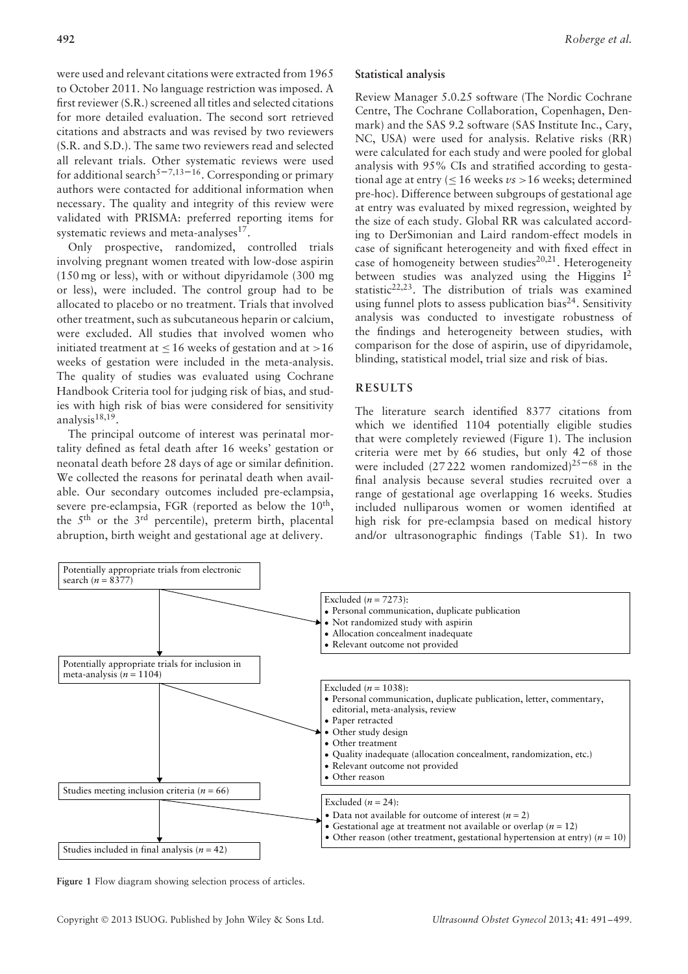were used and relevant citations were extracted from 1965 to October 2011. No language restriction was imposed. A first reviewer (S.R.) screened all titles and selected citations for more detailed evaluation. The second sort retrieved citations and abstracts and was revised by two reviewers (S.R. and S.D.). The same two reviewers read and selected all relevant trials. Other systematic reviews were used for additional search<sup>5–7,13–16</sup>. Corresponding or primary authors were contacted for additional information when necessary. The quality and integrity of this review were validated with PRISMA: preferred reporting items for systematic reviews and meta-analyses<sup>17</sup>.

Only prospective, randomized, controlled trials involving pregnant women treated with low-dose aspirin (150 mg or less), with or without dipyridamole (300 mg or less), were included. The control group had to be allocated to placebo or no treatment. Trials that involved other treatment, such as subcutaneous heparin or calcium, were excluded. All studies that involved women who initiated treatment at ≤ 16 weeks of gestation and at *>*16 weeks of gestation were included in the meta-analysis. The quality of studies was evaluated using Cochrane Handbook Criteria tool for judging risk of bias, and studies with high risk of bias were considered for sensitivity analysis<sup>18,19</sup>.

The principal outcome of interest was perinatal mortality defined as fetal death after 16 weeks' gestation or neonatal death before 28 days of age or similar definition. We collected the reasons for perinatal death when available. Our secondary outcomes included pre-eclampsia, severe pre-eclampsia, FGR (reported as below the 10<sup>th</sup>, the  $5<sup>th</sup>$  or the  $3<sup>rd</sup>$  percentile), preterm birth, placental abruption, birth weight and gestational age at delivery.

#### **Statistical analysis**

Review Manager 5.0.25 software (The Nordic Cochrane Centre, The Cochrane Collaboration, Copenhagen, Denmark) and the SAS 9.2 software (SAS Institute Inc., Cary, NC, USA) were used for analysis. Relative risks (RR) were calculated for each study and were pooled for global analysis with 95% CIs and stratified according to gestational age at entry ( $\leq$  16 weeks *vs* > 16 weeks; determined pre-hoc). Difference between subgroups of gestational age at entry was evaluated by mixed regression, weighted by the size of each study. Global RR was calculated according to DerSimonian and Laird random-effect models in case of significant heterogeneity and with fixed effect in case of homogeneity between studies<sup>20,21</sup>. Heterogeneity between studies was analyzed using the Higgins  $I^2$ statistic<sup>22,23</sup>. The distribution of trials was examined using funnel plots to assess publication bias<sup>24</sup>. Sensitivity analysis was conducted to investigate robustness of the findings and heterogeneity between studies, with comparison for the dose of aspirin, use of dipyridamole, blinding, statistical model, trial size and risk of bias.

## **RESULTS**

The literature search identified 8377 citations from which we identified 1104 potentially eligible studies that were completely reviewed (Figure 1). The inclusion criteria were met by 66 studies, but only 42 of those were included (27 222 women randomized)<sup>25–68</sup> in the final analysis because several studies recruited over a range of gestational age overlapping 16 weeks. Studies included nulliparous women or women identified at high risk for pre-eclampsia based on medical history and/or ultrasonographic findings (Table S1). In two



**Figure 1** Flow diagram showing selection process of articles.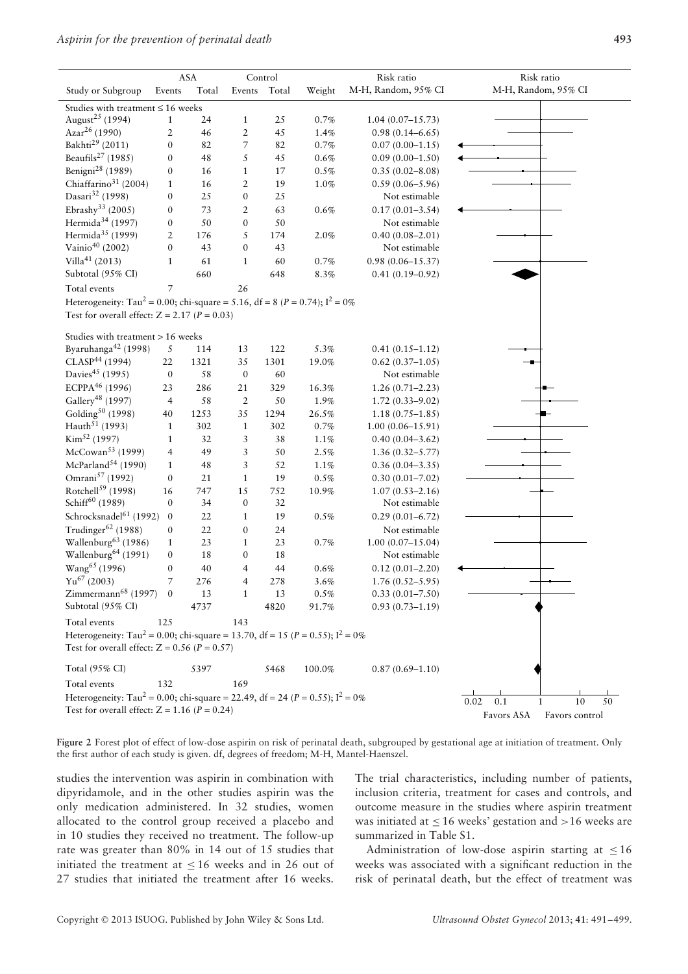|                                                                                                                                                   | ASA              |       |                  | Control |          | Risk ratio           | Risk ratio                       |  |
|---------------------------------------------------------------------------------------------------------------------------------------------------|------------------|-------|------------------|---------|----------|----------------------|----------------------------------|--|
| Study or Subgroup                                                                                                                                 | Events           | Total | Events           | Total   | Weight   | M-H, Random, 95% CI  | M-H, Random, 95% CI              |  |
| Studies with treatment $\leq 16$ weeks<br>August <sup>25</sup> (1994)<br>24<br>25<br>$0.7\%$<br>$\mathbf{1}$<br>$1.04(0.07-15.73)$<br>1           |                  |       |                  |         |          |                      |                                  |  |
| Azar <sup>26</sup> (1990)                                                                                                                         | $\overline{2}$   | 46    | $\boldsymbol{2}$ | 45      | 1.4%     | $0.98(0.14 - 6.65)$  |                                  |  |
| Bakhti <sup>29</sup> (2011)                                                                                                                       | $\boldsymbol{0}$ | 82    | 7                | 82      | $0.7\%$  | $0.07(0.00 - 1.15)$  |                                  |  |
| Beaufils <sup>27</sup> (1985)                                                                                                                     | $\boldsymbol{0}$ | 48    | 5                | 45      | 0.6%     | $0.09(0.00-1.50)$    |                                  |  |
| Benigni <sup>28</sup> (1989)                                                                                                                      | $\boldsymbol{0}$ | 16    | $\mathbf{1}$     | 17      | 0.5%     | $0.35(0.02 - 8.08)$  |                                  |  |
| Chiaffarino <sup>31</sup> (2004)                                                                                                                  | $\mathbf{1}$     | 16    | $\overline{2}$   | 19      | 1.0%     | $0.59(0.06 - 5.96)$  |                                  |  |
| Dasari <sup>32</sup> (1998)                                                                                                                       | $\boldsymbol{0}$ | 25    | $\boldsymbol{0}$ | 25      |          | Not estimable        |                                  |  |
| Ebrashy <sup>33</sup> (2005)                                                                                                                      | $\boldsymbol{0}$ | 73    | $\overline{2}$   | 63      | 0.6%     | $0.17(0.01 - 3.54)$  |                                  |  |
| Hermida <sup>34</sup> (1997)                                                                                                                      |                  |       |                  |         |          |                      |                                  |  |
|                                                                                                                                                   | $\boldsymbol{0}$ | 50    | $\boldsymbol{0}$ | 50      |          | Not estimable        |                                  |  |
| Hermida <sup>35</sup> (1999)                                                                                                                      | $\overline{2}$   | 176   | 5                | 174     | 2.0%     | $0.40(0.08 - 2.01)$  |                                  |  |
| Vainio <sup>40</sup> (2002)                                                                                                                       | $\boldsymbol{0}$ | 43    | $\boldsymbol{0}$ | 43      |          | Not estimable        |                                  |  |
| Villa <sup>41</sup> (2013)                                                                                                                        | $\mathbf{1}$     | 61    | $\mathbf{1}$     | 60      | $0.7\%$  | $0.98(0.06 - 15.37)$ |                                  |  |
| Subtotal (95% CI)                                                                                                                                 |                  | 660   |                  | 648     | $8.3\%$  | $0.41(0.19 - 0.92)$  |                                  |  |
| Total events                                                                                                                                      | 7                |       | 26               |         |          |                      |                                  |  |
| Heterogeneity: Tau <sup>2</sup> = 0.00; chi-square = 5.16, df = 8 ( $P$ = 0.74); I <sup>2</sup> = 0%                                              |                  |       |                  |         |          |                      |                                  |  |
| Test for overall effect: $Z = 2.17$ ( $P = 0.03$ )                                                                                                |                  |       |                  |         |          |                      |                                  |  |
| Studies with treatment > 16 weeks                                                                                                                 |                  |       |                  |         |          |                      |                                  |  |
| Byaruhanga <sup>42</sup> (1998)                                                                                                                   | 5                | 114   | 13               | 122     | 5.3%     | $0.41(0.15 - 1.12)$  |                                  |  |
| CLASP <sup>44</sup> (1994)                                                                                                                        | 22               | 1321  | 35               | 1301    | 19.0%    | $0.62(0.37-1.05)$    |                                  |  |
| Davies <sup>45</sup> (1995)                                                                                                                       | $\boldsymbol{0}$ | 58    | $\boldsymbol{0}$ | 60      |          | Not estimable        |                                  |  |
| ECPPA <sup>46</sup> (1996)                                                                                                                        | 23               | 286   | 21               | 329     | 16.3%    | $1.26(0.71 - 2.23)$  |                                  |  |
| Gallery <sup>48</sup> (1997)                                                                                                                      | $\overline{4}$   | 58    | $\overline{2}$   | 50      | 1.9%     | $1.72(0.33 - 9.02)$  |                                  |  |
| Golding <sup>50</sup> (1998)                                                                                                                      | 40               | 1253  | 35               | 1294    | $26.5\%$ | $1.18(0.75 - 1.85)$  |                                  |  |
| Hauth <sup>51</sup> (1993)                                                                                                                        | $\mathbf{1}$     | 302   | $\mathbf{1}$     | 302     | $0.7\%$  | $1.00(0.06 - 15.91)$ |                                  |  |
| Kim <sup>52</sup> (1997)                                                                                                                          | $\mathbf{1}$     | 32    | 3                | $3\,8$  | 1.1%     | $0.40(0.04 - 3.62)$  |                                  |  |
| $McCowan53$ (1999)                                                                                                                                | $\overline{4}$   | 49    | 3                | 50      | 2.5%     | $1.36(0.32 - 5.77)$  |                                  |  |
| McParland <sup>54</sup> (1990)                                                                                                                    | $\mathbf{1}$     | 48    | 3                | 52      | 1.1%     | $0.36(0.04 - 3.35)$  |                                  |  |
| Omrani <sup>57</sup> (1992)                                                                                                                       | $\boldsymbol{0}$ | 21    | $\mathbf{1}$     | 19      | $0.5\%$  | $0.30(0.01 - 7.02)$  |                                  |  |
| Rotchell <sup>59</sup> (1998)                                                                                                                     | 16               | 747   | 15               | 752     | 10.9%    | $1.07(0.53 - 2.16)$  |                                  |  |
| Schiff <sup>60</sup> (1989)                                                                                                                       | $\boldsymbol{0}$ | 34    | $\boldsymbol{0}$ | $32\,$  |          | Not estimable        |                                  |  |
| Schrocksnadel <sup>61</sup> (1992)                                                                                                                | $\boldsymbol{0}$ | 22    | $\mathbf{1}$     | 19      | $0.5\%$  | $0.29(0.01 - 6.72)$  |                                  |  |
| Trudinger <sup>62</sup> (1988)                                                                                                                    | $\boldsymbol{0}$ | 22    | $\boldsymbol{0}$ | 24      |          | Not estimable        |                                  |  |
| Wallenburg <sup>63</sup> (1986)                                                                                                                   | $\mathbf{1}$     | 23    | $\mathbf{1}$     | 23      | 0.7%     | $1.00(0.07 - 15.04)$ |                                  |  |
| Wallenburg <sup>64</sup> (1991)                                                                                                                   | $\boldsymbol{0}$ | 18    | 0                | 18      |          | Not estimable        |                                  |  |
| Wang <sup>65</sup> (1996)                                                                                                                         | $\boldsymbol{0}$ | 40    | 4                | 44      | $0.6\%$  | $0.12(0.01 - 2.20)$  |                                  |  |
| $Yu^{67}$ (2003)                                                                                                                                  | $\overline{7}$   | 276   | 4                | 278     | $3.6\%$  | $1.76(0.52 - 5.95)$  |                                  |  |
| Zimmermann <sup>68</sup> (1997) 0                                                                                                                 |                  | 13    | $\mathbf{1}$     | 13      | 0.5%     | $0.33(0.01 - 7.50)$  |                                  |  |
| Subtotal (95% CI)                                                                                                                                 |                  | 4737  |                  | 4820    | 91.7%    | $0.93(0.73 - 1.19)$  |                                  |  |
| Total events                                                                                                                                      | 125              |       | 143              |         |          |                      |                                  |  |
| Heterogeneity: Tau <sup>2</sup> = 0.00; chi-square = 13.70, df = 15 (P = 0.55); $I^2 = 0\%$<br>Test for overall effect: $Z = 0.56$ ( $P = 0.57$ ) |                  |       |                  |         |          |                      |                                  |  |
| Total (95% CI)                                                                                                                                    |                  | 5397  |                  | 5468    | 100.0%   | $0.87(0.69 - 1.10)$  |                                  |  |
| Total events                                                                                                                                      | 132              |       | 169              |         |          |                      |                                  |  |
| Heterogeneity: Tau <sup>2</sup> = 0.00; chi-square = 22.49, df = 24 ( $P = 0.55$ ); $I^2 = 0\%$                                                   |                  |       |                  |         |          |                      | $10\,$<br>50<br>0.02<br>0.1<br>1 |  |
| Test for overall effect: $Z = 1.16$ ( $P = 0.24$ )                                                                                                |                  |       |                  |         |          |                      |                                  |  |
|                                                                                                                                                   |                  |       |                  |         |          |                      | Favors ASA<br>Favors control     |  |

Figure 2 Forest plot of effect of low-dose aspirin on risk of perinatal death, subgrouped by gestational age at initiation of treatment. Only the first author of each study is given. df, degrees of freedom; M-H, Mantel-Haenszel.

studies the intervention was aspirin in combination with dipyridamole, and in the other studies aspirin was the only medication administered. In 32 studies, women allocated to the control group received a placebo and in 10 studies they received no treatment. The follow-up rate was greater than 80% in 14 out of 15 studies that initiated the treatment at  $\leq 16$  weeks and in 26 out of 27 studies that initiated the treatment after 16 weeks. The trial characteristics, including number of patients, inclusion criteria, treatment for cases and controls, and outcome measure in the studies where aspirin treatment was initiated at ≤ 16 weeks' gestation and *>*16 weeks are summarized in Table S1.

Administration of low-dose aspirin starting at  $\leq 16$ weeks was associated with a significant reduction in the risk of perinatal death, but the effect of treatment was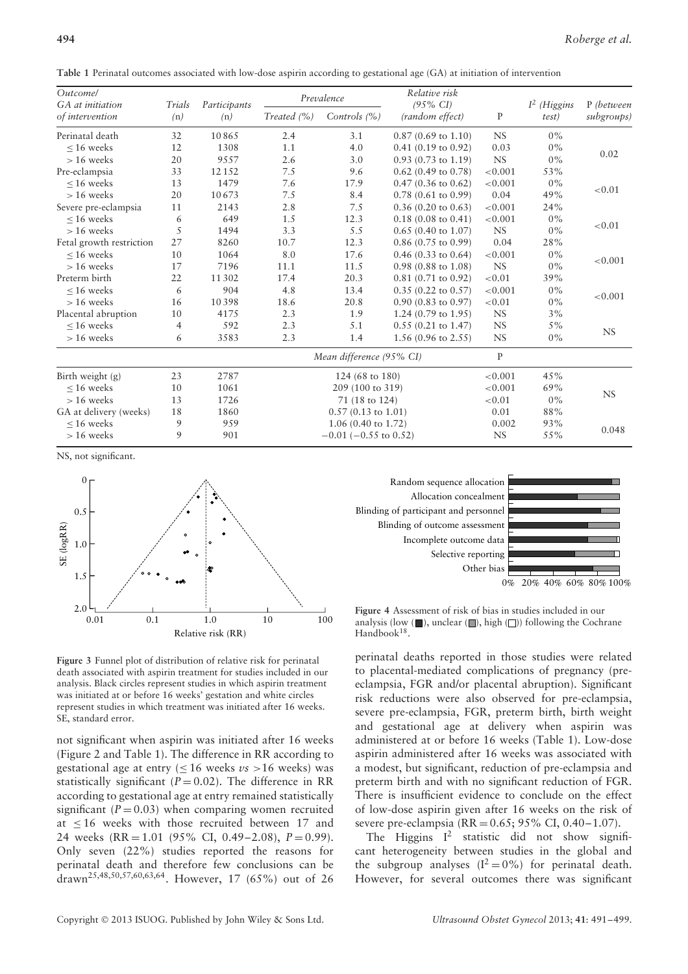**Table 1** Perinatal outcomes associated with low-dose aspirin according to gestational age (GA) at initiation of intervention

| <i>Outcomel</i><br>GA at initiation | Trials | Participants<br>(n) |                 | Prevalence                    | Relative risk<br>$(95\% \text{ CI})$ |              | $I2$ (Higgins<br>test) | P (between<br>subgroups) |  |
|-------------------------------------|--------|---------------------|-----------------|-------------------------------|--------------------------------------|--------------|------------------------|--------------------------|--|
| of intervention                     | (n)    |                     | Treated $(\% )$ | Controls $(% )$               | (random effect)                      | $\mathbf{P}$ |                        |                          |  |
| Perinatal death                     | 32     | 10865               | 2.4             | 3.1                           | $0.87(0.69)$ to $1.10$               | <b>NS</b>    | $0\%$                  |                          |  |
| $< 16$ weeks                        | 12     | 1308                | 1.1             | 4.0                           | $0.41$ (0.19 to 0.92)                | 0.03         | $0\%$                  | 0.02                     |  |
| $> 16$ weeks                        | 20     | 9557                | 2.6             | 3.0                           | $0.93$ (0.73 to 1.19)                | $_{\rm NS}$  | $0\%$                  |                          |  |
| Pre-eclampsia                       | 33     | 12 15 2             | 7.5             | 9.6                           | $0.62$ (0.49 to 0.78)                | < 0.001      | 53%                    |                          |  |
| $< 16$ weeks                        | 13     | 1479                | 7.6             | 17.9                          | $0.47$ (0.36 to 0.62)                | < 0.001      | $0\%$                  |                          |  |
| $> 16$ weeks                        | 20     | 10673               | 7.5             | 8.4                           | $0.78$ (0.61 to 0.99)                | 0.04         | 49%                    | ${<}0.01$                |  |
| Severe pre-eclampsia                | 11     | 2143                | 2.8             | 7.5                           | $0.36$ (0.20 to 0.63)                | < 0.001      | 24%                    |                          |  |
| $< 16$ weeks                        | 6      | 649                 | 1.5             | 12.3                          | $0.18(0.08 \text{ to } 0.41)$        | < 0.001      | $0\%$                  |                          |  |
| $> 16$ weeks                        | 5      | 1494                | 3.3             | 5.5                           | $0.65$ (0.40 to 1.07)                | NS           | $0\%$                  | ${<}0.01$                |  |
| Fetal growth restriction            | 27     | 8260                | 10.7            | 12.3                          | $0.86$ (0.75 to 0.99)                | 0.04         | 28%                    |                          |  |
| $< 16$ weeks                        | 10     | 1064                | 8.0             | 17.6                          | $0.46$ (0.33 to 0.64)                | < 0.001      | $0\%$                  |                          |  |
| $> 16$ weeks                        | 17     | 7196                | 11.1            | 11.5                          | $0.98$ (0.88 to 1.08)                | NS           | $0\%$                  | < 0.001                  |  |
| Preterm birth                       | 22     | 11 302              | 17.4            | 20.3                          | $0.81$ (0.71 to 0.92)                | ${<}0.01$    | 39%                    |                          |  |
| $< 16$ weeks                        | 6      | 904                 | 4.8             | 13.4                          | $0.35$ (0.22 to 0.57)                | < 0.001      | $0\%$                  |                          |  |
| $> 16$ weeks                        | 16     | 10398               | 18.6            | 20.8                          | $0.90$ (0.83 to 0.97)                | ${<}0.01$    | $0\%$                  | < 0.001                  |  |
| Placental abruption                 | 10     | 4175                | 2.3             | 1.9                           | 1.24 $(0.79 \text{ to } 1.95)$       | NS           | 3%                     |                          |  |
| $< 16$ weeks                        | 4      | 592                 | 2.3             | 5.1                           | $0.55$ (0.21 to 1.47)                | <b>NS</b>    | $5\%$                  |                          |  |
| $> 16$ weeks                        | 6      | 3583                | 2.3             | 1.4                           | 1.56 (0.96 to 2.55)                  | NS           | $0\%$                  | <b>NS</b>                |  |
|                                     |        |                     |                 | Mean difference (95% CI)      |                                      | $\mathbf{P}$ |                        |                          |  |
| Birth weight (g)                    | 23     | 2787                |                 | 124 (68 to 180)               | < 0.001                              | 45%          |                        |                          |  |
| $< 16$ weeks                        | 10     | 1061                |                 | 209 (100 to 319)              |                                      | < 0.001      | 69%                    |                          |  |
| $> 16$ weeks                        | 13     | 1726                |                 | 71 (18 to 124)                |                                      | ${<}0.01$    | $0\%$                  | $_{\rm NS}$              |  |
| GA at delivery (weeks)              | 18     | 1860                |                 | $0.57(0.13 \text{ to } 1.01)$ |                                      | 0.01         | 88%                    |                          |  |
| $< 16$ weeks                        | 9      | 959                 |                 | $1.06(0.40 \text{ to } 1.72)$ |                                      | 0.002        | 93%                    |                          |  |
| $> 16$ weeks                        | 9      | 901                 |                 | $-0.01$ ( $-0.55$ to 0.52)    |                                      | <b>NS</b>    | 55%                    | 0.048                    |  |

NS, not significant.



**Figure 3** Funnel plot of distribution of relative risk for perinatal death associated with aspirin treatment for studies included in our analysis. Black circles represent studies in which aspirin treatment was initiated at or before 16 weeks' gestation and white circles represent studies in which treatment was initiated after 16 weeks. SE, standard error.

not significant when aspirin was initiated after 16 weeks (Figure 2 and Table 1). The difference in RR according to gestational age at entry  $\leq 16$  weeks  $\nu s > 16$  weeks) was statistically significant  $(P = 0.02)$ . The difference in RR according to gestational age at entry remained statistically significant  $(P = 0.03)$  when comparing women recruited at  $\leq 16$  weeks with those recruited between 17 and 24 weeks (RR = 1.01 (95% CI, 0.49–2.08), *P* = 0.99). Only seven (22%) studies reported the reasons for perinatal death and therefore few conclusions can be drawn25,48,50,57,60,63,64. However, 17 (65%) out of 26



**Figure 4** Assessment of risk of bias in studies included in our analysis (low  $(\blacksquare)$ , unclear  $(\blacksquare)$ , high  $(\square)$ ) following the Cochrane Handbook<sup>18</sup>.

perinatal deaths reported in those studies were related to placental-mediated complications of pregnancy (preeclampsia, FGR and/or placental abruption). Significant risk reductions were also observed for pre-eclampsia, severe pre-eclampsia, FGR, preterm birth, birth weight and gestational age at delivery when aspirin was administered at or before 16 weeks (Table 1). Low-dose aspirin administered after 16 weeks was associated with a modest, but significant, reduction of pre-eclampsia and preterm birth and with no significant reduction of FGR. There is insufficient evidence to conclude on the effect of low-dose aspirin given after 16 weeks on the risk of severe pre-eclampsia (RR = 0.65; 95% CI, 0.40–1.07).

The Higgins  $I^2$  statistic did not show significant heterogeneity between studies in the global and the subgroup analyses  $(I^2 = 0\%)$  for perinatal death. However, for several outcomes there was significant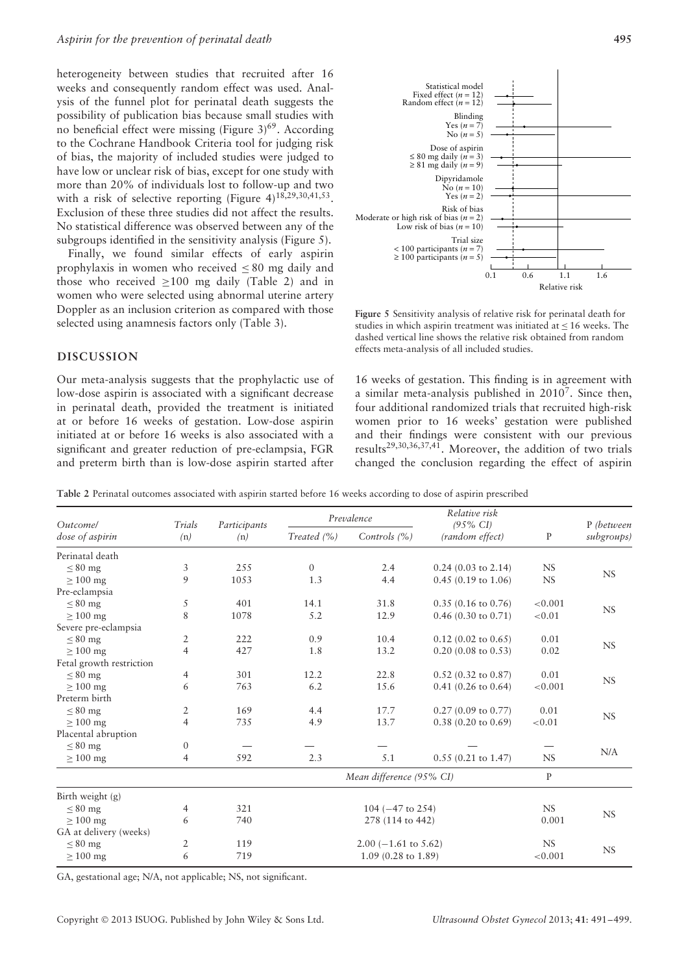heterogeneity between studies that recruited after 16 weeks and consequently random effect was used. Analysis of the funnel plot for perinatal death suggests the possibility of publication bias because small studies with no beneficial effect were missing (Figure  $3)^{69}$ . According to the Cochrane Handbook Criteria tool for judging risk of bias, the majority of included studies were judged to have low or unclear risk of bias, except for one study with more than 20% of individuals lost to follow-up and two with a risk of selective reporting (Figure  $4$ )<sup>18,29,30,41,53</sup>. Exclusion of these three studies did not affect the results. No statistical difference was observed between any of the subgroups identified in the sensitivity analysis (Figure 5).

Finally, we found similar effects of early aspirin prophylaxis in women who received  $\leq 80$  mg daily and those who received  $\geq 100$  mg daily (Table 2) and in women who were selected using abnormal uterine artery Doppler as an inclusion criterion as compared with those selected using anamnesis factors only (Table 3).

### **DISCUSSION**

Our meta-analysis suggests that the prophylactic use of low-dose aspirin is associated with a significant decrease in perinatal death, provided the treatment is initiated at or before 16 weeks of gestation. Low-dose aspirin initiated at or before 16 weeks is also associated with a significant and greater reduction of pre-eclampsia, FGR and preterm birth than is low-dose aspirin started after



**Figure 5** Sensitivity analysis of relative risk for perinatal death for studies in which aspirin treatment was initiated at  $\leq 16$  weeks. The dashed vertical line shows the relative risk obtained from random effects meta-analysis of all included studies.

16 weeks of gestation. This finding is in agreement with a similar meta-analysis published in 20107. Since then, four additional randomized trials that recruited high-risk women prior to 16 weeks' gestation were published and their findings were consistent with our previous results<sup>29,30,36,37,41</sup>. Moreover, the addition of two trials changed the conclusion regarding the effect of aspirin

**Table 2** Perinatal outcomes associated with aspirin started before 16 weeks according to dose of aspirin prescribed

| <i><u><b>Outcomel</b></u></i><br>dose of aspirin | Trials         | Participants |                                    | Prevalence             | Relative risk<br>$(95\% \text{ CI})$ |           |                          |
|--------------------------------------------------|----------------|--------------|------------------------------------|------------------------|--------------------------------------|-----------|--------------------------|
|                                                  | (n)            | (n)          | Treated $(\% )$<br>Controls $(% )$ |                        | (random effect)                      | P         | P (between<br>subgroups) |
| Perinatal death                                  |                |              |                                    |                        |                                      |           |                          |
| $< 80$ mg                                        | 3              | 255          | $\Omega$                           | 2.4                    | $0.24$ (0.03 to 2.14)                | <b>NS</b> | <b>NS</b>                |
| $\geq 100$ mg                                    | 9              | 1053         | 1.3                                | 4.4                    | $0.45(0.19)$ to $1.06$               | <b>NS</b> |                          |
| Pre-eclampsia                                    |                |              |                                    |                        |                                      |           |                          |
| $\leq 80$ mg                                     | 5              | 401          | 14.1                               | 31.8                   | $0.35(0.16 \text{ to } 0.76)$        | < 0.001   |                          |
| $\geq 100$ mg                                    | 8              | 1078         | 5.2                                | 12.9                   | $0.46$ (0.30 to 0.71)                | < 0.01    | NS                       |
| Severe pre-eclampsia                             |                |              |                                    |                        |                                      |           |                          |
| $< 80$ mg                                        | $\overline{2}$ | 222          | 0.9                                | 10.4                   | $0.12$ (0.02 to 0.65)                | 0.01      |                          |
| $>100$ mg                                        | $\overline{4}$ | 427          | 1.8                                | 13.2                   | $0.20$ (0.08 to 0.53)                | 0.02      | NS                       |
| Fetal growth restriction                         |                |              |                                    |                        |                                      |           |                          |
| $< 80$ mg                                        | 4              | 301          | 12.2                               | 22.8                   | $0.52$ (0.32 to 0.87)                | 0.01      |                          |
| $\geq 100$ mg                                    | 6              | 763          | 6.2                                | 15.6                   | $0.41$ (0.26 to 0.64)                | < 0.001   | <b>NS</b>                |
| Preterm birth                                    |                |              |                                    |                        |                                      |           |                          |
| $< 80$ mg                                        | $\overline{2}$ | 169          | 4.4                                | 17.7                   | $0.27(0.09)$ to $0.77$ )             | 0.01      |                          |
| $\geq 100$ mg                                    | $\overline{4}$ | 735          | 4.9                                | 13.7                   | $0.38$ (0.20 to 0.69)                | < 0.01    | NS                       |
| Placental abruption                              |                |              |                                    |                        |                                      |           |                          |
| $\leq 80$ mg                                     | $\Omega$       |              |                                    |                        |                                      |           |                          |
| $>100$ mg                                        | 4              | 592          | 2.3                                | 5.1                    | $0.55$ (0.21 to 1.47)                | NS        | N/A                      |
|                                                  |                |              | Mean difference (95% CI)           | $\mathbf{P}$           |                                      |           |                          |
| Birth weight (g)                                 |                |              |                                    |                        |                                      |           |                          |
| $\leq 80$ mg                                     | 4              | 321          | 104 ( $-47$ to 254)                |                        |                                      | <b>NS</b> |                          |
| $\geq 100$ mg                                    | 6              | 740          |                                    | 0.001                  | NS                                   |           |                          |
| GA at delivery (weeks)                           |                |              |                                    |                        |                                      |           |                          |
| $< 80$ mg                                        | $\overline{2}$ | 119          |                                    | $2.00$ (-1.61 to 5.62) |                                      | NS        |                          |
| $\geq 100$ mg                                    | 6              | 719          |                                    | < 0.001                | <b>NS</b>                            |           |                          |

GA, gestational age; N/A, not applicable; NS, not significant.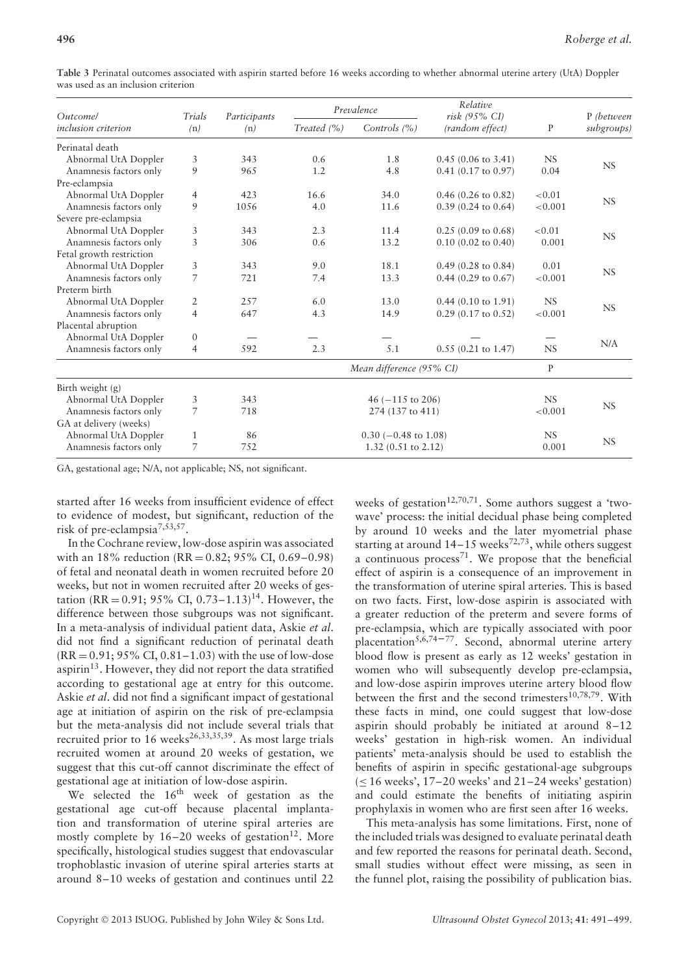| <i><u>Outcomel</u></i>     | Trials         | Participants<br>(n) |                                        | Prevalence             | Relative<br>risk (95% CI)<br>(random effect) | P            | P (between<br>subgroups) |  |
|----------------------------|----------------|---------------------|----------------------------------------|------------------------|----------------------------------------------|--------------|--------------------------|--|
| <i>inclusion criterion</i> | (n)            |                     | Treated $(\% )$                        | Controls $(% )$        |                                              |              |                          |  |
| Perinatal death            |                |                     |                                        |                        |                                              |              |                          |  |
| Abnormal UtA Doppler       | 3              | 343                 | 0.6                                    | 1.8                    | $0.45(0.06 \text{ to } 3.41)$                | <b>NS</b>    |                          |  |
| Anamnesis factors only     | 9              | 965                 | 1.2                                    | 4.8                    | $0.41$ (0.17 to 0.97)                        | 0.04         | <b>NS</b>                |  |
| Pre-eclampsia              |                |                     |                                        |                        |                                              |              |                          |  |
| Abnormal UtA Doppler       | 4              | 423                 | 16.6                                   | 34.0                   | $0.46$ (0.26 to 0.82)                        | < 0.01       | <b>NS</b>                |  |
| Anamnesis factors only     | 9              | 1056                | 4.0                                    | 11.6                   | $0.39(0.24 \text{ to } 0.64)$                | < 0.001      |                          |  |
| Severe pre-eclampsia       |                |                     |                                        |                        |                                              |              |                          |  |
| Abnormal UtA Doppler       | 3              | 343                 | 2.3                                    | 11.4                   | $0.25(0.09)$ to $0.68$ )                     | < 0.01       |                          |  |
| Anamnesis factors only     | 3              | 306                 | 0.6                                    | 13.2                   | $0.10$ (0.02 to 0.40)                        | 0.001        | <b>NS</b>                |  |
| Fetal growth restriction   |                |                     |                                        |                        |                                              |              |                          |  |
| Abnormal UtA Doppler       | 3              | 343                 | 9.0                                    | 18.1                   | $0.49$ (0.28 to 0.84)                        | 0.01         | <b>NS</b>                |  |
| Anamnesis factors only     | 7              | 721                 | 7.4                                    | 13.3                   | $0.44$ (0.29 to 0.67)                        | < 0.001      |                          |  |
| Preterm birth              |                |                     |                                        |                        |                                              |              |                          |  |
| Abnormal UtA Doppler       | 2              | 2.57                | 6.0                                    | 13.0                   | $0.44$ (0.10 to 1.91)                        | <b>NS</b>    |                          |  |
| Anamnesis factors only     | $\overline{4}$ | 647                 | 4.3                                    | 14.9                   | $0.29$ (0.17 to 0.52)                        | < 0.001      | <b>NS</b>                |  |
| Placental abruption        |                |                     |                                        |                        |                                              |              |                          |  |
| Abnormal UtA Doppler       | $\mathbf{0}$   |                     |                                        |                        |                                              |              |                          |  |
| Anamnesis factors only     | 4              | 592                 | 2.3                                    | 5.1                    | $0.55$ (0.21 to 1.47)                        | <b>NS</b>    | N/A                      |  |
|                            |                |                     | Mean difference (95% CI)               |                        |                                              | $\mathbf{P}$ |                          |  |
| Birth weight (g)           |                |                     |                                        |                        |                                              |              |                          |  |
| Abnormal UtA Doppler       | 3              | 343                 | 46 $(-115$ to 206)<br>274 (137 to 411) |                        |                                              | NS.          |                          |  |
| Anamnesis factors only     | 7              | 718                 |                                        |                        |                                              | < 0.001      | <b>NS</b>                |  |
| GA at delivery (weeks)     |                |                     |                                        |                        |                                              |              |                          |  |
| Abnormal UtA Doppler       | 1              | 86                  |                                        | $0.30$ (-0.48 to 1.08) |                                              | <b>NS</b>    |                          |  |
| Anamnesis factors only     | 7              | 752                 | 1.32 $(0.51 \text{ to } 2.12)$         |                        |                                              | 0.001        | <b>NS</b>                |  |

**Table 3** Perinatal outcomes associated with aspirin started before 16 weeks according to whether abnormal uterine artery (UtA) Doppler was used as an inclusion criterion

GA, gestational age; N/A, not applicable; NS, not significant.

started after 16 weeks from insufficient evidence of effect to evidence of modest, but significant, reduction of the risk of pre-eclampsia7,53,57.

In the Cochrane review, low-dose aspirin was associated with an  $18\%$  reduction (RR = 0.82; 95% CI, 0.69–0.98) of fetal and neonatal death in women recruited before 20 weeks, but not in women recruited after 20 weeks of gestation (RR = 0.91; 95% CI, 0.73-1.13)<sup>14</sup>. However, the difference between those subgroups was not significant. In a meta-analysis of individual patient data, Askie *et al*. did not find a significant reduction of perinatal death  $(RR = 0.91; 95\% \text{ CI}, 0.81 - 1.03)$  with the use of low-dose aspirin $13$ . However, they did not report the data stratified according to gestational age at entry for this outcome. Askie *et al*. did not find a significant impact of gestational age at initiation of aspirin on the risk of pre-eclampsia but the meta-analysis did not include several trials that recruited prior to  $16$  weeks<sup>26,33,35,39</sup>. As most large trials recruited women at around 20 weeks of gestation, we suggest that this cut-off cannot discriminate the effect of gestational age at initiation of low-dose aspirin.

We selected the  $16<sup>th</sup>$  week of gestation as the gestational age cut-off because placental implantation and transformation of uterine spiral arteries are mostly complete by  $16-20$  weeks of gestation<sup>12</sup>. More specifically, histological studies suggest that endovascular trophoblastic invasion of uterine spiral arteries starts at around 8–10 weeks of gestation and continues until 22

weeks of gestation<sup>12,70,71</sup>. Some authors suggest a 'twowave' process: the initial decidual phase being completed by around 10 weeks and the later myometrial phase starting at around  $14-15$  weeks<sup>72,73</sup>, while others suggest a continuous process<sup>71</sup>. We propose that the beneficial effect of aspirin is a consequence of an improvement in the transformation of uterine spiral arteries. This is based on two facts. First, low-dose aspirin is associated with a greater reduction of the preterm and severe forms of pre-eclampsia, which are typically associated with poor placentation<sup>5,6,74–77</sup>. Second, abnormal uterine artery blood flow is present as early as 12 weeks' gestation in women who will subsequently develop pre-eclampsia, and low-dose aspirin improves uterine artery blood flow between the first and the second trimesters<sup>10,78,79</sup>. With these facts in mind, one could suggest that low-dose aspirin should probably be initiated at around 8–12 weeks' gestation in high-risk women. An individual patients' meta-analysis should be used to establish the benefits of aspirin in specific gestational-age subgroups  $(< 16$  weeks',  $17-20$  weeks' and  $21-24$  weeks' gestation) and could estimate the benefits of initiating aspirin prophylaxis in women who are first seen after 16 weeks.

This meta-analysis has some limitations. First, none of the included trials was designed to evaluate perinatal death and few reported the reasons for perinatal death. Second, small studies without effect were missing, as seen in the funnel plot, raising the possibility of publication bias.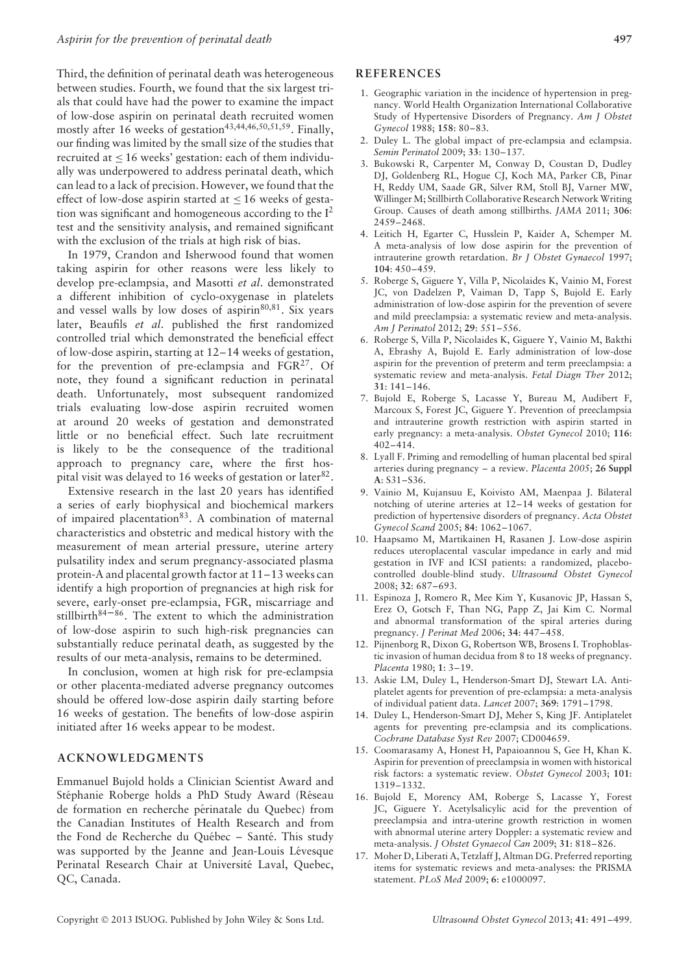Third, the definition of perinatal death was heterogeneous between studies. Fourth, we found that the six largest trials that could have had the power to examine the impact of low-dose aspirin on perinatal death recruited women mostly after  $16$  weeks of gestation<sup>43,44,46,50,51,59</sup>. Finally, our finding was limited by the small size of the studies that recruited at  $\leq 16$  weeks' gestation: each of them individually was underpowered to address perinatal death, which can lead to a lack of precision. However, we found that the effect of low-dose aspirin started at  $\leq 16$  weeks of gestation was significant and homogeneous according to the I2 test and the sensitivity analysis, and remained significant with the exclusion of the trials at high risk of bias.

In 1979, Crandon and Isherwood found that women taking aspirin for other reasons were less likely to develop pre-eclampsia, and Masotti *et al*. demonstrated a different inhibition of cyclo-oxygenase in platelets and vessel walls by low doses of aspirin $80,81$ . Six years later, Beaufils *et al*. published the first randomized controlled trial which demonstrated the beneficial effect of low-dose aspirin, starting at 12–14 weeks of gestation, for the prevention of pre-eclampsia and  $FGR<sup>27</sup>$ . Of note, they found a significant reduction in perinatal death. Unfortunately, most subsequent randomized trials evaluating low-dose aspirin recruited women at around 20 weeks of gestation and demonstrated little or no beneficial effect. Such late recruitment is likely to be the consequence of the traditional approach to pregnancy care, where the first hospital visit was delayed to 16 weeks of gestation or later  $82$ .

Extensive research in the last 20 years has identified a series of early biophysical and biochemical markers of impaired placentation<sup>83</sup>. A combination of maternal characteristics and obstetric and medical history with the measurement of mean arterial pressure, uterine artery pulsatility index and serum pregnancy-associated plasma protein-A and placental growth factor at 11–13 weeks can identify a high proportion of pregnancies at high risk for severe, early-onset pre-eclampsia, FGR, miscarriage and stillbirth $84-86$ . The extent to which the administration of low-dose aspirin to such high-risk pregnancies can substantially reduce perinatal death, as suggested by the results of our meta-analysis, remains to be determined.

In conclusion, women at high risk for pre-eclampsia or other placenta-mediated adverse pregnancy outcomes should be offered low-dose aspirin daily starting before 16 weeks of gestation. The benefits of low-dose aspirin initiated after 16 weeks appear to be modest.

#### **ACKNOWLEDGMENTS**

Emmanuel Bujold holds a Clinician Scientist Award and Stéphanie Roberge holds a PhD Study Award (Réseau de formation en recherche périnatale du Quebec) from the Canadian Institutes of Health Research and from the Fond de Recherche du Québec – Santé. This study was supported by the Jeanne and Jean-Louis Lévesque Perinatal Research Chair at Université Laval, Quebec, QC, Canada.

#### **REFERENCES**

- 1. Geographic variation in the incidence of hypertension in pregnancy. World Health Organization International Collaborative Study of Hypertensive Disorders of Pregnancy. *Am J Obstet Gynecol* 1988; **158**: 80–83.
- 2. Duley L. The global impact of pre-eclampsia and eclampsia. *Semin Perinatol* 2009; **33**: 130–137.
- 3. Bukowski R, Carpenter M, Conway D, Coustan D, Dudley DJ, Goldenberg RL, Hogue CJ, Koch MA, Parker CB, Pinar H, Reddy UM, Saade GR, Silver RM, Stoll BJ, Varner MW, Willinger M; Stillbirth Collaborative Research Network Writing Group. Causes of death among stillbirths. *JAMA* 2011; **306**: 2459–2468.
- 4. Leitich H, Egarter C, Husslein P, Kaider A, Schemper M. A meta-analysis of low dose aspirin for the prevention of intrauterine growth retardation. *Br J Obstet Gynaecol* 1997; **104**: 450–459.
- 5. Roberge S, Giguere Y, Villa P, Nicolaides K, Vainio M, Forest JC, von Dadelzen P, Vaiman D, Tapp S, Bujold E. Early administration of low-dose aspirin for the prevention of severe and mild preeclampsia: a systematic review and meta-analysis. *Am J Perinatol* 2012; **29**: 551–556.
- 6. Roberge S, Villa P, Nicolaides K, Giguere Y, Vainio M, Bakthi A, Ebrashy A, Bujold E. Early administration of low-dose aspirin for the prevention of preterm and term preeclampsia: a systematic review and meta-analysis. *Fetal Diagn Ther* 2012; **31**: 141–146.
- 7. Bujold E, Roberge S, Lacasse Y, Bureau M, Audibert F, Marcoux S, Forest JC, Giguere Y. Prevention of preeclampsia and intrauterine growth restriction with aspirin started in early pregnancy: a meta-analysis. *Obstet Gynecol* 2010; **116**: 402–414.
- 8. Lyall F. Priming and remodelling of human placental bed spiral arteries during pregnancy – a review. *Placenta 2005*; **26 Suppl A**: S31–S36.
- 9. Vainio M, Kujansuu E, Koivisto AM, Maenpaa J. Bilateral notching of uterine arteries at 12–14 weeks of gestation for prediction of hypertensive disorders of pregnancy. *Acta Obstet Gynecol Scand* 2005; **84**: 1062–1067.
- 10. Haapsamo M, Martikainen H, Rasanen J. Low-dose aspirin reduces uteroplacental vascular impedance in early and mid gestation in IVF and ICSI patients: a randomized, placebocontrolled double-blind study. *Ultrasound Obstet Gynecol* 2008; **32**: 687–693.
- 11. Espinoza J, Romero R, Mee Kim Y, Kusanovic JP, Hassan S, Erez O, Gotsch F, Than NG, Papp Z, Jai Kim C. Normal and abnormal transformation of the spiral arteries during pregnancy. *J Perinat Med* 2006; **34**: 447–458.
- 12. Pijnenborg R, Dixon G, Robertson WB, Brosens I. Trophoblastic invasion of human decidua from 8 to 18 weeks of pregnancy. *Placenta* 1980; **1**: 3–19.
- 13. Askie LM, Duley L, Henderson-Smart DJ, Stewart LA. Antiplatelet agents for prevention of pre-eclampsia: a meta-analysis of individual patient data. *Lancet* 2007; **369**: 1791–1798.
- 14. Duley L, Henderson-Smart DJ, Meher S, King JF. Antiplatelet agents for preventing pre-eclampsia and its complications. *Cochrane Database Syst Rev* 2007; CD004659.
- 15. Coomarasamy A, Honest H, Papaioannou S, Gee H, Khan K. Aspirin for prevention of preeclampsia in women with historical risk factors: a systematic review. *Obstet Gynecol* 2003; **101**: 1319–1332.
- 16. Bujold E, Morency AM, Roberge S, Lacasse Y, Forest JC, Giguere Y. Acetylsalicylic acid for the prevention of preeclampsia and intra-uterine growth restriction in women with abnormal uterine artery Doppler: a systematic review and meta-analysis. *J Obstet Gynaecol Can* 2009; **31**: 818–826.
- 17. Moher D, Liberati A, Tetzlaff J, Altman DG. Preferred reporting items for systematic reviews and meta-analyses: the PRISMA statement. *PLoS Med* 2009; **6**: e1000097.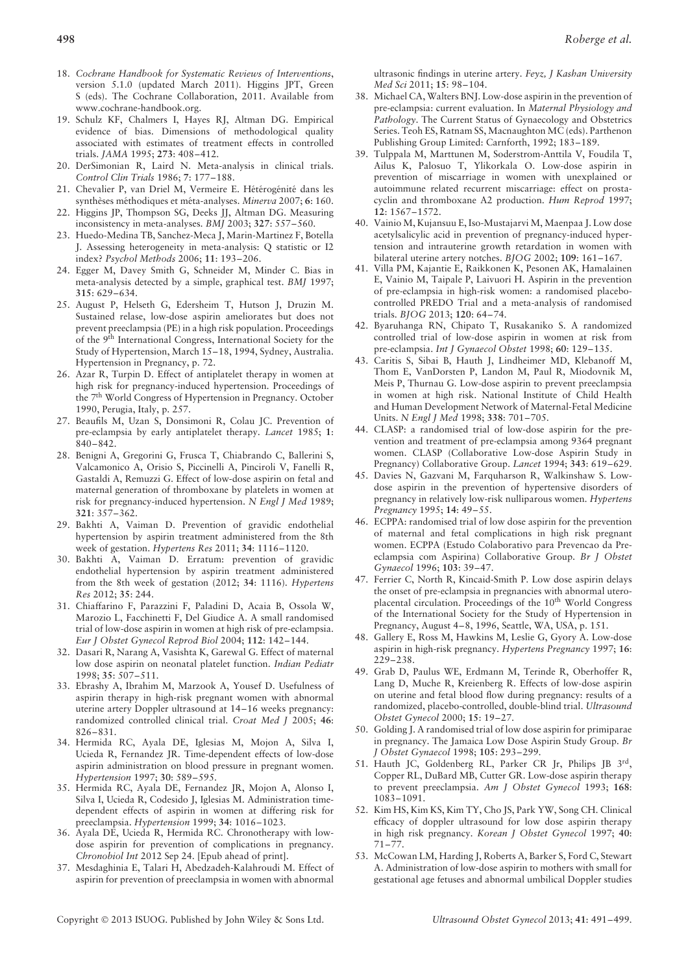- 18. *Cochrane Handbook for Systematic Reviews of Interventions*, version 5.1.0 (updated March 2011). Higgins JPT, Green S (eds). The Cochrane Collaboration, 2011. Available from www.cochrane-handbook.org.
- 19. Schulz KF, Chalmers I, Hayes RJ, Altman DG. Empirical evidence of bias. Dimensions of methodological quality associated with estimates of treatment effects in controlled trials. *JAMA* 1995; **273**: 408–412.
- 20. DerSimonian R, Laird N. Meta-analysis in clinical trials. *Control Clin Trials* 1986; **7**: 177–188.
- 21. Chevalier P, van Driel M, Vermeire E. Hétérogénité dans les synthèses méthodiques et méta-analyses. Minerva 2007; 6: 160.
- 22. Higgins JP, Thompson SG, Deeks JJ, Altman DG. Measuring inconsistency in meta-analyses. *BMJ* 2003; **327**: 557–560.
- 23. Huedo-Medina TB, Sanchez-Meca J, Marin-Martinez F, Botella J. Assessing heterogeneity in meta-analysis: Q statistic or I2 index? *Psychol Methods* 2006; **11**: 193–206.
- 24. Egger M, Davey Smith G, Schneider M, Minder C. Bias in meta-analysis detected by a simple, graphical test. *BMJ* 1997; **315**: 629–634.
- 25. August P, Helseth G, Edersheim T, Hutson J, Druzin M. Sustained relase, low-dose aspirin ameliorates but does not prevent preeclampsia (PE) in a high risk population. Proceedings of the 9th International Congress, International Society for the Study of Hypertension, March 15–18, 1994, Sydney, Australia. Hypertension in Pregnancy, p. 72.
- 26. Azar R, Turpin D. Effect of antiplatelet therapy in women at high risk for pregnancy-induced hypertension. Proceedings of the 7th World Congress of Hypertension in Pregnancy. October 1990, Perugia, Italy, p. 257.
- 27. Beaufils M, Uzan S, Donsimoni R, Colau JC. Prevention of pre-eclampsia by early antiplatelet therapy. *Lancet* 1985; **1**: 840–842.
- 28. Benigni A, Gregorini G, Frusca T, Chiabrando C, Ballerini S, Valcamonico A, Orisio S, Piccinelli A, Pinciroli V, Fanelli R, Gastaldi A, Remuzzi G. Effect of low-dose aspirin on fetal and maternal generation of thromboxane by platelets in women at risk for pregnancy-induced hypertension. *N Engl J Med* 1989; **321**: 357–362.
- 29. Bakhti A, Vaiman D. Prevention of gravidic endothelial hypertension by aspirin treatment administered from the 8th week of gestation. *Hypertens Res* 2011; **34**: 1116–1120.
- 30. Bakhti A, Vaiman D. Erratum: prevention of gravidic endothelial hypertension by aspirin treatment administered from the 8th week of gestation (2012; **34**: 1116). *Hypertens Res* 2012; **35**: 244.
- 31. Chiaffarino F, Parazzini F, Paladini D, Acaia B, Ossola W, Marozio L, Facchinetti F, Del Giudice A. A small randomised trial of low-dose aspirin in women at high risk of pre-eclampsia. *Eur J Obstet Gynecol Reprod Biol* 2004; **112**: 142–144.
- 32. Dasari R, Narang A, Vasishta K, Garewal G. Effect of maternal low dose aspirin on neonatal platelet function. *Indian Pediatr* 1998; **35**: 507–511.
- 33. Ebrashy A, Ibrahim M, Marzook A, Yousef D. Usefulness of aspirin therapy in high-risk pregnant women with abnormal uterine artery Doppler ultrasound at 14–16 weeks pregnancy: randomized controlled clinical trial. *Croat Med J* 2005; **46**: 826–831.
- 34. Hermida RC, Ayala DE, Iglesias M, Mojon A, Silva I, Ucieda R, Fernandez JR. Time-dependent effects of low-dose aspirin administration on blood pressure in pregnant women. *Hypertension* 1997; **30**: 589–595.
- 35. Hermida RC, Ayala DE, Fernandez JR, Mojon A, Alonso I, Silva I, Ucieda R, Codesido J, Iglesias M. Administration timedependent effects of aspirin in women at differing risk for preeclampsia. *Hypertension* 1999; **34**: 1016–1023.
- 36. Ayala DE, Ucieda R, Hermida RC. Chronotherapy with lowdose aspirin for prevention of complications in pregnancy. *Chronobiol Int* 2012 Sep 24. [Epub ahead of print].
- 37. Mesdaghinia E, Talari H, Abedzadeh-Kalahroudi M. Effect of aspirin for prevention of preeclampsia in women with abnormal

ultrasonic findings in uterine artery. *Feyz, J Kashan University Med Sci* 2011; **15**: 98–104.

- 38. Michael CA, Walters BNJ. Low-dose aspirin in the prevention of pre-eclampsia: current evaluation. In *Maternal Physiology and Pathology*. The Current Status of Gynaecology and Obstetrics Series. Teoh ES, Ratnam SS, Macnaughton MC (eds). Parthenon Publishing Group Limited: Carnforth, 1992; 183–189.
- 39. Tulppala M, Marttunen M, Soderstrom-Anttila V, Foudila T, Ailus K, Palosuo T, Ylikorkala O. Low-dose aspirin in prevention of miscarriage in women with unexplained or autoimmune related recurrent miscarriage: effect on prostacyclin and thromboxane A2 production. *Hum Reprod* 1997; **12**: 1567–1572.
- 40. Vainio M, Kujansuu E, Iso-Mustajarvi M, Maenpaa J. Low dose acetylsalicylic acid in prevention of pregnancy-induced hypertension and intrauterine growth retardation in women with bilateral uterine artery notches. *BJOG* 2002; **109**: 161–167.
- 41. Villa PM, Kajantie E, Raikkonen K, Pesonen AK, Hamalainen E, Vainio M, Taipale P, Laivuori H. Aspirin in the prevention of pre-eclampsia in high-risk women: a randomised placebocontrolled PREDO Trial and a meta-analysis of randomised trials. *BJOG* 2013; **120**: 64–74.
- 42. Byaruhanga RN, Chipato T, Rusakaniko S. A randomized controlled trial of low-dose aspirin in women at risk from pre-eclampsia. *Int J Gynaecol Obstet* 1998; **60**: 129–135.
- 43. Caritis S, Sibai B, Hauth J, Lindheimer MD, Klebanoff M, Thom E, VanDorsten P, Landon M, Paul R, Miodovnik M, Meis P, Thurnau G. Low-dose aspirin to prevent preeclampsia in women at high risk. National Institute of Child Health and Human Development Network of Maternal-Fetal Medicine Units. *N Engl J Med* 1998; **338**: 701–705.
- 44. CLASP: a randomised trial of low-dose aspirin for the prevention and treatment of pre-eclampsia among 9364 pregnant women. CLASP (Collaborative Low-dose Aspirin Study in Pregnancy) Collaborative Group. *Lancet* 1994; **343**: 619–629.
- 45. Davies N, Gazvani M, Farquharson R, Walkinshaw S. Lowdose aspirin in the prevention of hypertensive disorders of pregnancy in relatively low-risk nulliparous women. *Hypertens Pregnancy* 1995; **14**: 49–55.
- 46. ECPPA: randomised trial of low dose aspirin for the prevention of maternal and fetal complications in high risk pregnant women. ECPPA (Estudo Colaborativo para Prevencao da Preeclampsia com Aspirina) Collaborative Group. *Br J Obstet Gynaecol* 1996; **103**: 39–47.
- 47. Ferrier C, North R, Kincaid-Smith P. Low dose aspirin delays the onset of pre-eclampsia in pregnancies with abnormal uteroplacental circulation. Proceedings of the 10<sup>th</sup> World Congress of the International Society for the Study of Hypertension in Pregnancy, August 4–8, 1996, Seattle, WA, USA, p. 151.
- 48. Gallery E, Ross M, Hawkins M, Leslie G, Gyory A. Low-dose aspirin in high-risk pregnancy. *Hypertens Pregnancy* 1997; **16**: 229–238.
- 49. Grab D, Paulus WE, Erdmann M, Terinde R, Oberhoffer R, Lang D, Muche R, Kreienberg R. Effects of low-dose aspirin on uterine and fetal blood flow during pregnancy: results of a randomized, placebo-controlled, double-blind trial. *Ultrasound Obstet Gynecol* 2000; **15**: 19–27.
- 50. Golding J. A randomised trial of low dose aspirin for primiparae in pregnancy. The Jamaica Low Dose Aspirin Study Group. *Br J Obstet Gynaecol* 1998; **105**: 293–299.
- 51. Hauth JC, Goldenberg RL, Parker CR Jr, Philips JB 3rd, Copper RL, DuBard MB, Cutter GR. Low-dose aspirin therapy to prevent preeclampsia. *Am J Obstet Gynecol* 1993; **168**: 1083–1091.
- 52. Kim HS, Kim KS, Kim TY, Cho JS, Park YW, Song CH. Clinical efficacy of doppler ultrasound for low dose aspirin therapy in high risk pregnancy. *Korean J Obstet Gynecol* 1997; **40**: 71–77.
- 53. McCowan LM, Harding J, Roberts A, Barker S, Ford C, Stewart A. Administration of low-dose aspirin to mothers with small for gestational age fetuses and abnormal umbilical Doppler studies